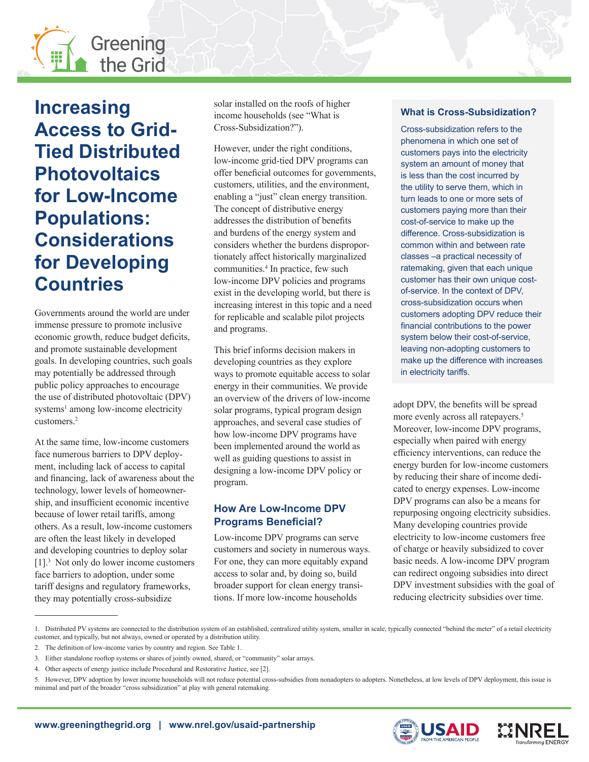

# **Increasing Access to Grid-Tied Distributed Photovoltaics for Low-Income Populations: Considerations for Developing Countries**

Governments around the world are under immense pressure to promote inclusive economic growth, reduce budget deficits, and promote sustainable development goals. In developing countries, such goals may potentially be addressed through public policy approaches to encourage the use of distributed photovoltaic (DPV) systems<sup>1</sup> among low-income electricity customers.2

At the same time, low-income customers face numerous barriers to DPV deployment, including lack of access to capital and financing, lack of awareness about the technology, lower levels of homeownership, and insufficient economic incentive because of lower retail tariffs, among others. As a result, low-income customers are often the least likely in developed and developing countries to deploy solar [1].<sup>3</sup> Not only do lower income customers face barriers to adoption, under some tariff designs and regulatory frameworks, they may potentially cross-subsidize

solar installed on the roofs of higher income households (see "What is Cross-Subsidization?").

However, under the right conditions, low-income grid-tied DPV programs can offer beneficial outcomes for governments, customers, utilities, and the environment, enabling a "just" clean energy transition. The concept of distributive energy addresses the distribution of benefits and burdens of the energy system and considers whether the burdens disproportionately affect historically marginalized communities.4 In practice, few such low-income DPV policies and programs exist in the developing world, but there is increasing interest in this topic and a need for replicable and scalable pilot projects and programs.

This brief informs decision makers in developing countries as they explore ways to promote equitable access to solar energy in their communities. We provide an overview of the drivers of low-income solar programs, typical program design approaches, and several case studies of how low-income DPV programs have been implemented around the world as well as guiding questions to assist in designing a low-income DPV policy or program.

# **How Are Low-Income DPV Programs Beneficial?**

Low-income DPV programs can serve customers and society in numerous ways. For one, they can more equitably expand access to solar and, by doing so, build broader support for clean energy transitions. If more low-income households

## **What is Cross-Subsidization?**

Cross-subsidization refers to the phenomena in which one set of customers pays into the electricity system an amount of money that is less than the cost incurred by the utility to serve them, which in turn leads to one or more sets of customers paying more than their cost-of-service to make up the difference. Cross-subsidization is common within and between rate classes –a practical necessity of ratemaking, given that each unique customer has their own unique costof-service. In the context of DPV, cross-subsidization occurs when customers adopting DPV reduce their financial contributions to the power system below their cost-of-service, leaving non-adopting customers to make up the difference with increases in electricity tariffs.

adopt DPV, the benefits will be spread more evenly across all ratepayers.<sup>5</sup> Moreover, low-income DPV programs, especially when paired with energy efficiency interventions, can reduce the energy burden for low-income customers by reducing their share of income dedicated to energy expenses. Low-income DPV programs can also be a means for repurposing ongoing electricity subsidies. Many developing countries provide electricity to low-income customers free of charge or heavily subsidized to cover basic needs. A low-income DPV program can redirect ongoing subsidies into direct DPV investment subsidies with the goal of reducing electricity subsidies over time.





<sup>1.</sup> Distributed PV systems are connected to the distribution system of an established, centralized utility system, smaller in scale, typically connected "behind the meter" of a retail electricity customer, and typically, but not always, owned or operated by a distribution utility.

<sup>2.</sup> The definition of low-income varies by country and region. See Table 1.

<sup>3.</sup> Either standalone rooftop systems or shares of jointly owned, shared, or "community" solar arrays.

<sup>4.</sup> Other aspects of energy justice include Procedural and Restorative Justice, see [2].

<sup>5.</sup> However, DPV adoption by lower income households will not reduce potential cross-subsidies from nonadopters to adopters. Nonetheless, at low levels of DPV deployment, this issue is minimal and part of the broader "cross subsidization" at play with general ratemaking.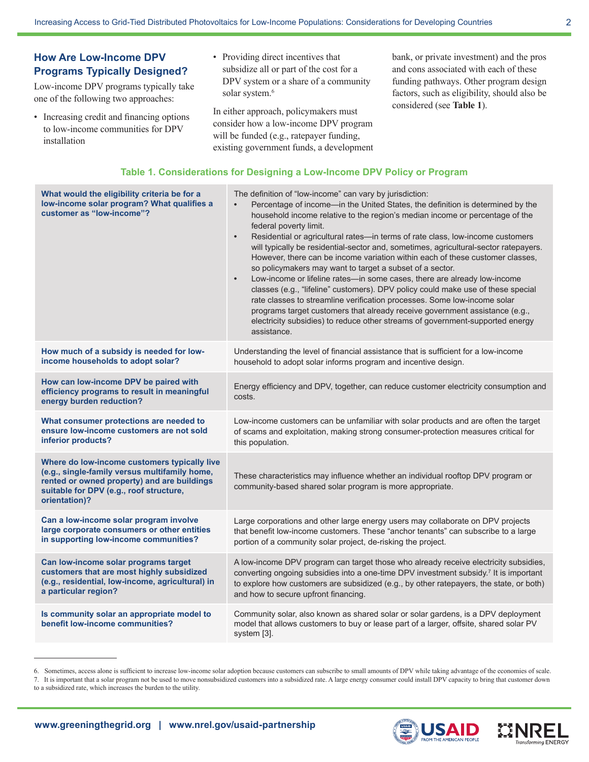# **How Are Low-Income DPV Programs Typically Designed?**

Low-income DPV programs typically take one of the following two approaches:

- Increasing credit and financing options to low-income communities for DPV installation
- Providing direct incentives that subsidize all or part of the cost for a DPV system or a share of a community solar system.<sup>6</sup>

In either approach, policymakers must consider how a low-income DPV program will be funded (e.g., ratepayer funding, existing government funds, a development bank, or private investment) and the pros and cons associated with each of these funding pathways. Other program design factors, such as eligibility, should also be considered (see **Table 1**).

## **Table 1. Considerations for Designing a Low-Income DPV Policy or Program**

| assistance.                                                                                                                                                                                                                                                                                                                                                                                                                                                                                   |
|-----------------------------------------------------------------------------------------------------------------------------------------------------------------------------------------------------------------------------------------------------------------------------------------------------------------------------------------------------------------------------------------------------------------------------------------------------------------------------------------------|
| How much of a subsidy is needed for low-<br>Understanding the level of financial assistance that is sufficient for a low-income<br>income households to adopt solar?<br>household to adopt solar informs program and incentive design.                                                                                                                                                                                                                                                        |
| How can low-income DPV be paired with<br>Energy efficiency and DPV, together, can reduce customer electricity consumption and<br>efficiency programs to result in meaningful<br>costs.<br>energy burden reduction?                                                                                                                                                                                                                                                                            |
| What consumer protections are needed to<br>Low-income customers can be unfamiliar with solar products and are often the target<br>ensure low-income customers are not sold<br>of scams and exploitation, making strong consumer-protection measures critical for<br>inferior products?<br>this population.                                                                                                                                                                                    |
| Where do low-income customers typically live<br>(e.g., single-family versus multifamily home,<br>These characteristics may influence whether an individual rooftop DPV program or<br>rented or owned property) and are buildings<br>community-based shared solar program is more appropriate.<br>suitable for DPV (e.g., roof structure,<br>orientation)?                                                                                                                                     |
| Can a low-income solar program involve<br>Large corporations and other large energy users may collaborate on DPV projects<br>large corporate consumers or other entities<br>that benefit low-income customers. These "anchor tenants" can subscribe to a large<br>in supporting low-income communities?<br>portion of a community solar project, de-risking the project.                                                                                                                      |
| A low-income DPV program can target those who already receive electricity subsidies,<br>Can low-income solar programs target<br>customers that are most highly subsidized<br>converting ongoing subsidies into a one-time DPV investment subsidy. <sup>7</sup> It is important<br>(e.g., residential, low-income, agricultural) in<br>to explore how customers are subsidized (e.g., by other ratepayers, the state, or both)<br>a particular region?<br>and how to secure upfront financing. |
| Community solar, also known as shared solar or solar gardens, is a DPV deployment<br>Is community solar an appropriate model to<br>benefit low-income communities?<br>model that allows customers to buy or lease part of a larger, offsite, shared solar PV<br>system [3].                                                                                                                                                                                                                   |

<sup>6.</sup> Sometimes, access alone is sufficient to increase low-income solar adoption because customers can subscribe to small amounts of DPV while taking advantage of the economies of scale.





<sup>7.</sup> It is important that a solar program not be used to move nonsubsidized customers into a subsidized rate. A large energy consumer could install DPV capacity to bring that customer down to a subsidized rate, which increases the burden to the utility.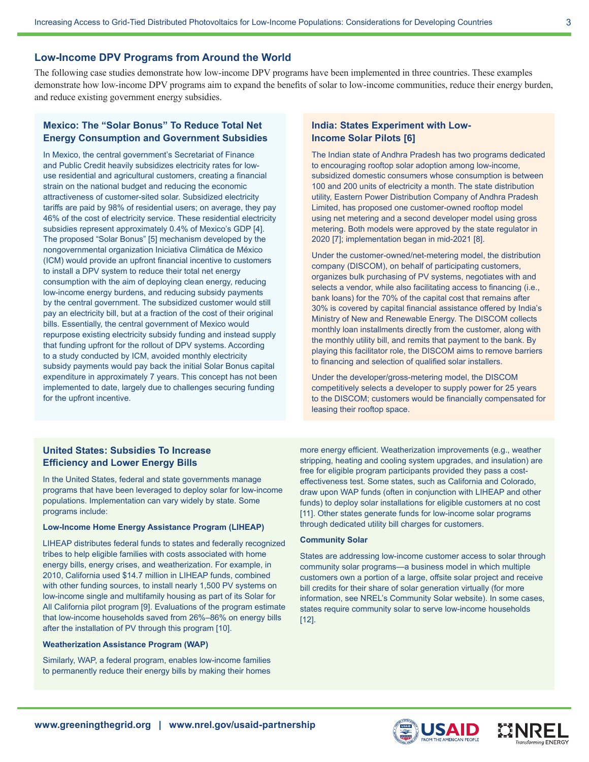### **Low-Income DPV Programs from Around the World**

The following case studies demonstrate how low-income DPV programs have been implemented in three countries. These examples demonstrate how low-income DPV programs aim to expand the benefits of solar to low-income communities, reduce their energy burden, and reduce existing government energy subsidies.

## **Mexico: The "Solar Bonus" To Reduce Total Net Energy Consumption and Government Subsidies**

In Mexico, the central government's Secretariat of Finance and Public Credit heavily subsidizes electricity rates for lowuse residential and agricultural customers, creating a financial strain on the national budget and reducing the economic attractiveness of customer-sited solar. Subsidized electricity tariffs are paid by 98% of residential users; on average, they pay 46% of the cost of electricity service. These residential electricity subsidies represent approximately 0.4% of Mexico's GDP [4]. The proposed "Solar Bonus" [5] mechanism developed by the nongovernmental organization Iniciativa Climática de México (ICM) would provide an upfront financial incentive to customers to install a DPV system to reduce their total net energy consumption with the aim of deploying clean energy, reducing low-income energy burdens, and reducing subsidy payments by the central government. The subsidized customer would still pay an electricity bill, but at a fraction of the cost of their original bills. Essentially, the central government of Mexico would repurpose existing electricity subsidy funding and instead supply that funding upfront for the rollout of DPV systems. According to a study conducted by ICM, avoided monthly electricity subsidy payments would pay back the initial Solar Bonus capital expenditure in approximately 7 years. This concept has not been implemented to date, largely due to challenges securing funding for the upfront incentive.

## **India: States Experiment with Low-Income Solar Pilots [6]**

The Indian state of Andhra Pradesh has two programs dedicated to encouraging rooftop solar adoption among low-income, subsidized domestic consumers whose consumption is between 100 and 200 units of electricity a month. The state distribution utility, Eastern Power Distribution Company of Andhra Pradesh Limited, has proposed one customer-owned rooftop model using net metering and a second developer model using gross metering. Both models were approved by the state regulator in 2020 [7]; implementation began in mid-2021 [8].

Under the customer-owned/net-metering model, the distribution company (DISCOM), on behalf of participating customers, organizes bulk purchasing of PV systems, negotiates with and selects a vendor, while also facilitating access to financing (i.e., bank loans) for the 70% of the capital cost that remains after 30% is covered by capital financial assistance offered by India's Ministry of New and Renewable Energy. The DISCOM collects monthly loan installments directly from the customer, along with the monthly utility bill, and remits that payment to the bank. By playing this facilitator role, the DISCOM aims to remove barriers to financing and selection of qualified solar installers.

Under the developer/gross-metering model, the DISCOM competitively selects a developer to supply power for 25 years to the DISCOM; customers would be financially compensated for leasing their rooftop space.

## **United States: Subsidies To Increase Efficiency and Lower Energy Bills**

In the United States, federal and state governments manage programs that have been leveraged to deploy solar for low-income populations. Implementation can vary widely by state. Some programs include:

#### **Low-Income Home Energy Assistance Program (LIHEAP)**

LIHEAP distributes federal funds to states and federally recognized tribes to help eligible families with costs associated with home energy bills, energy crises, and weatherization. For example, in 2010, California used \$14.7 million in LIHEAP funds, combined with other funding sources, to install nearly 1,500 PV systems on low-income single and multifamily housing as part of its Solar for All California pilot program [9]. Evaluations of the program estimate that low-income households saved from 26%–86% on energy bills after the installation of PV through this program [10].

#### **Weatherization Assistance Program (WAP)**

Similarly, WAP, a federal program, enables low-income families to permanently reduce their energy bills by making their homes more energy efficient. Weatherization improvements (e.g., weather stripping, heating and cooling system upgrades, and insulation) are free for eligible program participants provided they pass a costeffectiveness test. Some states, such as California and Colorado, draw upon WAP funds (often in conjunction with LIHEAP and other funds) to deploy solar installations for eligible customers at no cost [11]. Other states generate funds for low-income solar programs through dedicated utility bill charges for customers.

#### **Community Solar**

States are addressing low-income customer access to solar through community solar programs—a business model in which multiple customers own a portion of a large, offsite solar project and receive bill credits for their share of solar generation virtually (for more information, see NREL's Community Solar website). In some cases, states require community solar to serve low-income households [12].